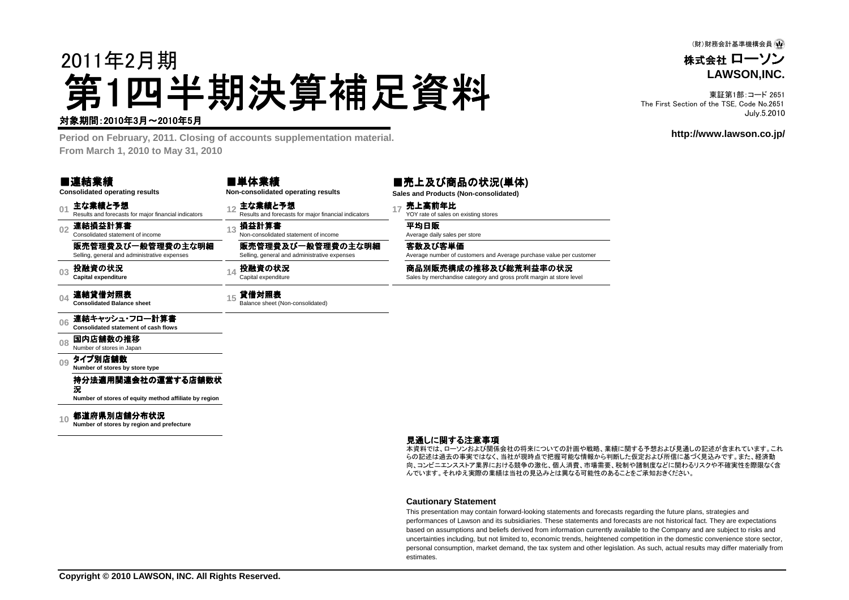(財)財務会計基準機構会員 4

株式会社 ローソン**LAWSON,INC.**

東証第1部:コード 2651 The First Section of the TSE, Code No.2651July.5.2010

#### **http://www.lawson.co.jp/**

# 2011年2月期第1四半期決算補足資料

#### 対象期間: 2010年3月~2010年5月

 **Period on February, 2011. Closing of accounts supplementation material.From March 1, 2010 to May 31, 2010**

#### ■連結業績

**Consolidated operating results**

**01**主な業績と予想<br>Results and forecasts for maior financial indicators

**02**連結損益計算書 Consolidated statement of income

販売管理費及び一般管理費の主な明細Selling, general and administrative expenses

**03**投融資の状況 **Capital expenditure**

**04**連結貸借対照表 **Consolidated Balance sheet**

■単体業績**Non-consolidated operating results**

**<sup>12</sup>** 主な業績と予想 Results and forecasts for major financial indicators **<sup>17</sup>** 売上高前年比 YOY rate of sales on existing stores

**損益計算書**<br>Non-consolidated statement of income Average daily sales per store

販売管理費及び一般管理費の主な明細

Selling, general and administrative expenses**投融資の状況**<br>Capital expenditure

### 15 **貸借対照表**<br>Balance sheet (Non-consolidated)

■売上及び商品の状況**(**単体**)**

客数及び客単価

Average number of customers and Average purchase value per customer

商品別販売構成の推移及び総荒利益率の状況<br>Sales by merchandise category and gross profit margin at store level

#### **06**連結キャッシュ・フロー計算書 **Consolidated statement of cash flows**

**08**国内店舗数の推移<br>Number of stores in Japan

**09**タイプ別店舗数 **Number of stores by store type**

> 持分法適用関連会社の運営する店舗数状況

**Number of stores of equity method affiliate by region**

#### **10**都道府県別店舗分布状況 **Number of stores by region and prefecture**

#### 見通しに関する注意事項

 本資料では、ローソンおよび関係会社の将来についての計画や戦略、業績に関する予想および見通しの記述が含まれています。これ らの記述は過去の事実ではなく、当社が現時点で把握可能な情報から判断した仮定および所信に基づく見込みです。また、経済動 向、コンビニエンスストア業界における競争の激化、個人消費、市場需要、税制や諸制度などに関わるリスクや不確実性を際限なく含んでいます。それゆえ実際の業績は当社の見込みとは異なる可能性のあることをご承知おきください。

#### **Cautionary Statement**

 This presentation may contain forward-looking statements and forecasts regarding the future plans, strategies and performances of Lawson and its subsidiaries. These statements and forecasts are not historical fact. They are expectations based on assumptions and beliefs derived from information currently available to the Company and are subject to risks and uncertainties including, but not limited to, economic trends, heightened competition in the domestic convenience store sector, personal consumption, market demand, the tax system and other legislation. As such, actual results may differ materially fromestimates.

**Sales and Products (Non-consolidated)**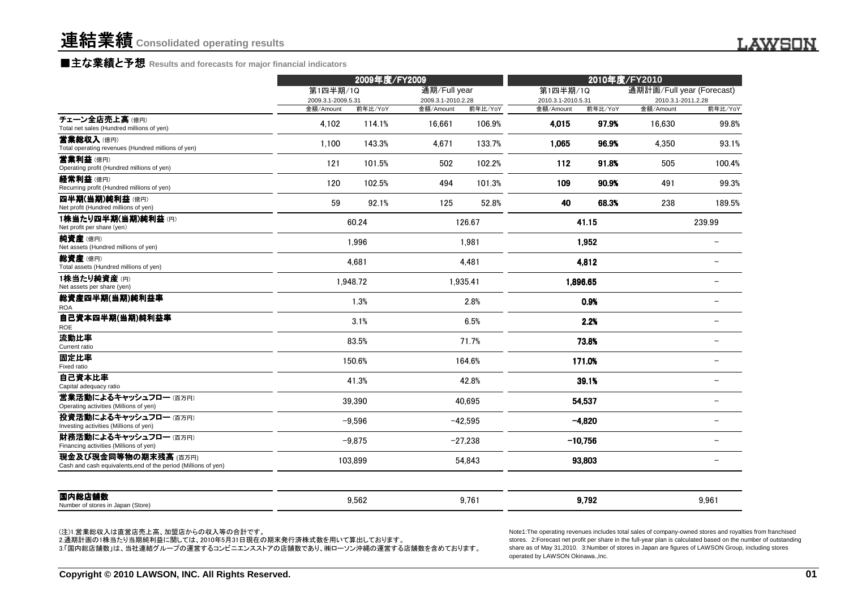### ■主な業績と予想 **Results and forecasts for major financial indicators**

|                                                                                        | 2009年度/FY2009      |          |                    |           | 2010年度/FY2010      |           |                           |                          |  |
|----------------------------------------------------------------------------------------|--------------------|----------|--------------------|-----------|--------------------|-----------|---------------------------|--------------------------|--|
|                                                                                        | 第1四半期/1Q           |          | 通期/Full year       |           | 第1四半期/1Q           |           | 通期計画/Full year (Forecast) |                          |  |
|                                                                                        | 2009.3.1-2009.5.31 |          | 2009.3.1-2010.2.28 |           | 2010.3.1-2010.5.31 |           |                           | 2010.3.1-2011.2.28       |  |
|                                                                                        | 金額/Amount          | 前年比/YoY  | 金額/Amount          | 前年比/YoY   | 金額/Amount          | 前年比/YoY   | 金額/Amount                 | 前年比/YoY                  |  |
| チェーン全店売上高(億円)<br>Total net sales (Hundred millions of yen)                             | 4,102              | 114.1%   | 16.661             | 106.9%    | 4.015              | 97.9%     | 16.630                    | 99.8%                    |  |
| 営業総収入 (億円)<br>Total operating revenues (Hundred millions of yen)                       | 1,100              | 143.3%   | 4.671              | 133.7%    | 1.065              | 96.9%     | 4.350                     | 93.1%                    |  |
| 营業利益 (億円)<br>Operating profit (Hundred millions of yen)                                | 121                | 101.5%   | 502                | 102.2%    | 112                | 91.8%     | 505                       | 100.4%                   |  |
| 経常利益 (億円)<br>Recurring profit (Hundred millions of yen)                                | 120                | 102.5%   | 494                | 101.3%    | 109                | 90.9%     | 491                       | 99.3%                    |  |
| 四半期(当期)純利益(億円)<br>Net profit (Hundred millions of yen)                                 | 59                 | 92.1%    | 125                | 52.8%     | 40                 | 68.3%     | 238                       | 189.5%                   |  |
| 1株当たり四半期(当期)純利益(円)<br>Net profit per share (yen)                                       |                    | 60.24    |                    | 126.67    |                    | 41.15     |                           | 239.99                   |  |
| <b>純資産</b> (億円)<br>Net assets (Hundred millions of yen)                                |                    | 1,996    |                    | 1,981     |                    | 1,952     |                           |                          |  |
| <b>総資産</b> (億円)<br>Total assets (Hundred millions of yen)                              |                    | 4,681    |                    | 4,481     |                    | 4,812     |                           |                          |  |
| 1株当たり純資産 (円)<br>Net assets per share (yen)                                             |                    | 1.948.72 |                    | 1.935.41  |                    | 1.896.65  |                           |                          |  |
| 総資産四半期(当期)純利益率<br><b>ROA</b>                                                           |                    | 1.3%     |                    | 2.8%      |                    | 0.9%      |                           |                          |  |
| 自己資本四半期(当期)純利益率<br>ROE                                                                 |                    | 3.1%     |                    | 6.5%      |                    | 2.2%      |                           |                          |  |
| 流動比率<br>Current ratio                                                                  |                    | 83.5%    |                    | 71.7%     |                    | 73.8%     |                           |                          |  |
| 固定比率<br>Fixed ratio                                                                    |                    | 150.6%   |                    | 164.6%    |                    | 171.0%    |                           |                          |  |
| 自己資本比率<br>Capital adequacy ratio                                                       |                    | 41.3%    |                    | 42.8%     |                    | 39.1%     |                           |                          |  |
| 営業活動によるキャッシュフロー (百万円)<br>Operating activities (Millions of yen)                        |                    | 39.390   |                    | 40.695    |                    | 54.537    |                           | $\overline{\phantom{0}}$ |  |
| 投資活動によるキャッシュフロー (百万円)<br>Investing activities (Millions of yen)                        |                    | $-9,596$ |                    | $-42,595$ |                    | $-4,820$  |                           |                          |  |
| 財務活動によるキャッシュフロー (百万円)<br>Financing activities (Millions of yen)                        |                    | $-9.875$ |                    | $-27.238$ |                    | $-10,756$ |                           | $\overline{\phantom{0}}$ |  |
| 現金及び現金同等物の期末残高 (百万円)<br>Cash and cash equivalents, end of the period (Millions of yen) |                    | 103,899  |                    | 54,843    |                    | 93,803    |                           |                          |  |
|                                                                                        |                    | 9,562    |                    | 9,761     |                    | 9,792     |                           | 9,961                    |  |

Note1:The operating revenues includes total sales of company-owned stores and royalties from franchised stores. 2:Forecast net profit per share in the full-year plan is calculated based on the number of outstandingshare as of May 31,2010. 3:Number of stores in Japan are figures of LAWSON Group, including storesoperated by LAWSON Okinawa.,Inc.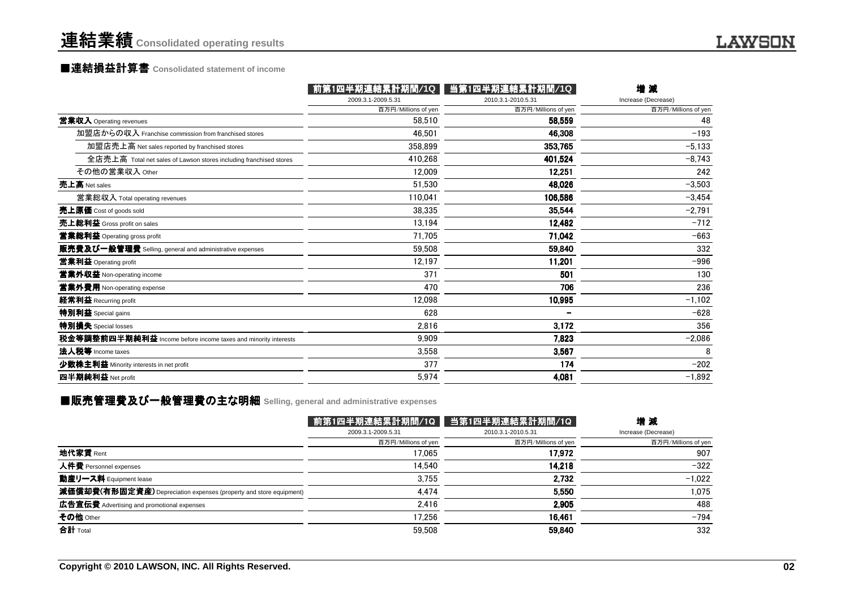### 連結業績**Consolidated operating results**

## ■連結損益計算書 ■連結損益計算書**Consolidated statement of income**

| 2009.3.1-2009.5.31<br>2010.3.1-2010.5.31                                                 | Increase (Decrease) |
|------------------------------------------------------------------------------------------|---------------------|
| 百万円/Millions of yen<br>百万円/Millions of yen                                               | 百万円/Millions of yen |
| 當業収入 Operating revenues<br>58.510<br>58,559                                              | 48                  |
| 加盟店からの収入 Franchise commission from franchised stores<br>46.501<br>46,308                 | $-193$              |
| 加盟店売上高 Net sales reported by franchised stores<br>358.899<br>353,765                     | $-5,133$            |
| 410.268<br>全店売上高 Total net sales of Lawson stores including franchised stores<br>401,524 | $-8,743$            |
| その他の営業収入 Other<br>12,009<br>12,251                                                       | 242                 |
| 売上高 Net sales<br>51,530<br>48,026                                                        | $-3,503$            |
| 110.041<br>106,586<br>営業総収入 Total operating revenues                                     | $-3,454$            |
| 38,335<br>35,544<br>売上原価 Cost of goods sold                                              | $-2,791$            |
| 売上総利益 Gross profit on sales<br>13,194<br>12,482                                          | $-712$              |
| 71,705<br>71,042<br>営業総利益 Operating gross profit                                         | $-663$              |
| 販売費及び一般管理費 Selling, general and administrative expenses<br>59.508<br>59,840              | 332                 |
| 12.197<br>11,201<br>営業利益 Operating profit                                                | $-996$              |
| 371<br>営業外収益 Non-operating income<br>501                                                 | 130                 |
| 706<br>470<br>営業外費用 Non-operating expense                                                | 236                 |
| 12,098<br>10,995<br>経常利益 Recurring profit                                                | $-1,102$            |
| 特別利益 Special gains<br>628                                                                | $-628$              |
| 特別損失 Special losses<br>2.816<br>3,172                                                    | 356                 |
| 税金等調整前四半期純利益 Income before income taxes and minority interests<br>9.909<br>7,823         | $-2,086$            |
| 法人税等 Income taxes<br>3.558<br>3,567                                                      | 8                   |
| 377<br>174<br>少数株主利益 Minority interests in net profit                                    | $-202$              |
| 四半期純利益 Net profit<br>5,974<br>4,081                                                      | $-1,892$            |

### ■販売管理費及び一般管理費の主な明細 Selling, general and administrative expenses<br>-

|                     |                     | 増減                                  |
|---------------------|---------------------|-------------------------------------|
| 2009.3.1-2009.5.31  | 2010.3.1-2010.5.31  | Increase (Decrease)                 |
| 百万円/Millions of yen | 百万円/Millions of yen | 百万円/Millions of yen                 |
| 17.065              | 17,972              | 907                                 |
| 14.540              | 14.218              | $-322$                              |
| 3,755               | 2,732               | $-1.022$                            |
| 4.474               | 5.550               | 1.075                               |
| 2,416               | 2,905               | 488                                 |
| 17.256              | 16,461              | $-794$                              |
| 59.508              | 59,840              | 332                                 |
|                     |                     | 前第1四半期連結累計期間/1Q ▌ 当第1四半期連結累計期間/1Q │ |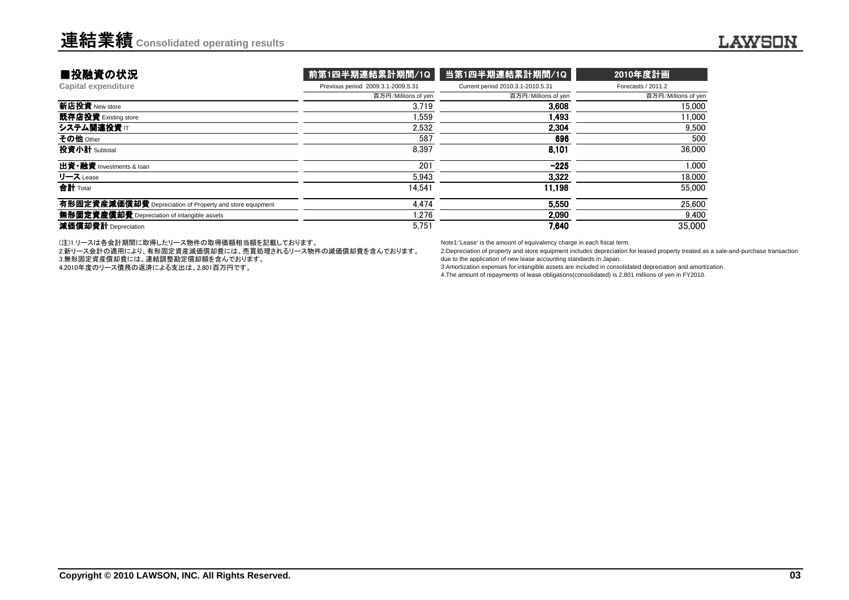| ■投融資の状況                                                  | 前第1四半期連結累計期間/1Q                    | 当第1四半期連結累計期間/1Q                   | 2010年度計画            |
|----------------------------------------------------------|------------------------------------|-----------------------------------|---------------------|
| Capital expenditure                                      | Previous period 2009.3.1-2009.5.31 | Current period 2010.3.1-2010.5.31 | Forecasts / 2011.2  |
|                                                          | 百万円/Millions of yen                | 百万円/Millions of yen               | 百万円/Millions of yen |
| 新店投資 New store                                           | 3.719                              | 3.608                             | 15,000              |
| 既存店投資 Existing store                                     | 1.559                              | 1.493                             | 11.000              |
| システム関連投資 IT                                              | 2.532                              | 2.304                             | 9.500               |
| その他 Other                                                | 587                                | 696                               | 500                 |
| 投資小計 Subtotal                                            | 8.397                              | 8.101                             | 36,000              |
| 出資·融資 Investments & loan                                 | 201                                | $-225$                            | 1.000               |
| リース Lease                                                | 5.943                              | 3.322                             | 18,000              |
| 合計 Total                                                 | 14.541                             | 11.198                            | 55,000              |
| 有形固定資産減価償却費 Depreciation of Property and store equipment | 4.474                              | 5,550                             | 25,600              |
| 無形固定資産償却費 Depreciation of intangible assets              | 1.276                              | 2.090                             | 9,400               |
| 減価償却費計 Depreciation                                      | 5,751                              | 7,640                             | 35,000              |

(注)1.リースは各会計期間に取得したリース物件の取得価額相当額を記載しております。

2.新リース会計の適用により、有形固定資産減価償却費には、売買処理されるリース物件の減価償却費を含んでおります。

3.無形固定資産償却費には、連結調整勘定償却額を含んでおります。

4.2010年度のリース債務の返済による支出は、2,801百万円です。

Note1:'Lease' is the amount of equivalency charge in each fiscal term.

 2:Depreciation of property and store equipment includes depreciation for leased property treated as a sale-and-purchase transactiondue to the application of new lease accounting standards in Japan.

3:Amortization expenses for intangible assets are included in consolidated depreciation and amortization.

4.The amount of repayments of lease obligations(consolidated) is 2,801 millions of yen in FY2010.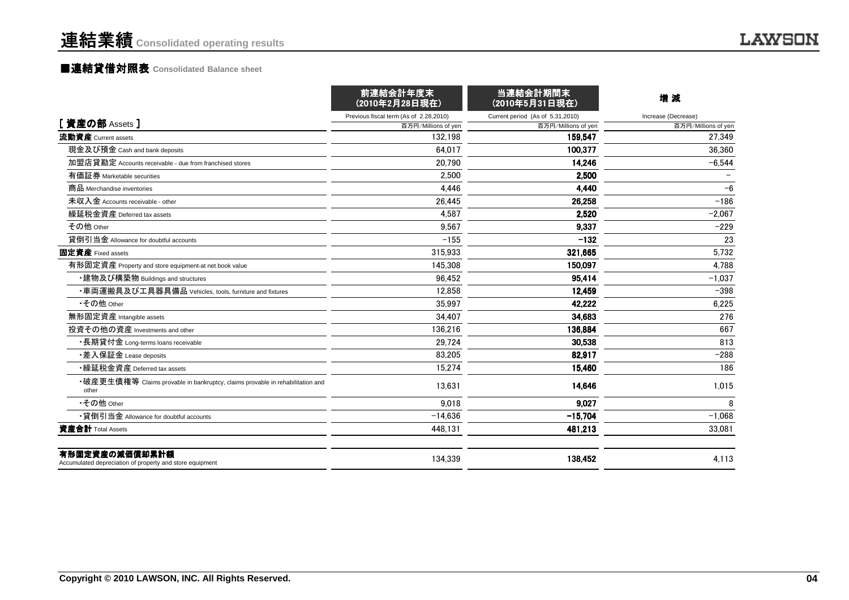### ■連結貸借対照表 **Consolidated Balance sheet**

|                                                                                        | 前連結会計年度末<br>(2010年2月28日現在)             | 当連結会計期間末<br>(2010年5月31日現在)       | 増減                  |
|----------------------------------------------------------------------------------------|----------------------------------------|----------------------------------|---------------------|
|                                                                                        | Previous fiscal term (As of 2.28,2010) | Current period (As of 5.31,2010) | Increase (Decrease) |
| [資産の部 Assets]                                                                          | 百万円/Millions of yen                    | 百万円/Millions of yen              | 百万円/Millions of yen |
| 流動資産 Current assets                                                                    | 132.198                                | 159,547                          | 27,349              |
| 現金及び預金 Cash and bank deposits                                                          | 64.017                                 | 100.377                          | 36.360              |
| 加盟店貸勘定 Accounts receivable - due from franchised stores                                | 20.790                                 | 14,246                           | $-6,544$            |
| 有価証券 Marketable securities                                                             | 2.500                                  | 2,500                            |                     |
| 商品 Merchandise inventories                                                             | 4.446                                  | 4,440                            | $-6$                |
| 未収入金 Accounts receivable - other                                                       | 26,445                                 | 26,258                           | $-186$              |
| 繰延税金資産 Deferred tax assets                                                             | 4.587                                  | 2,520                            | $-2,067$            |
| その他 Other                                                                              | 9,567                                  | 9,337                            | $-229$              |
| 貸倒引当金 Allowance for doubtful accounts                                                  | $-155$                                 | $-132$                           | 23                  |
| 固定資産 Fixed assets                                                                      | 315,933                                | 321.665                          | 5,732               |
| 有形固定資産 Property and store equipment-at net book value                                  | 145.308                                | 150.097                          | 4,788               |
| ・建物及び構築物 Buildings and structures                                                      | 96.452                                 | 95.414                           | $-1.037$            |
| ・車両運搬具及び工具器具備品 Vehicles, tools, furniture and fixtures                                 | 12.858                                 | 12,459                           | $-398$              |
| •その他 Other                                                                             | 35.997                                 | 42.222                           | 6,225               |
| 無形固定資産 Intangible assets                                                               | 34.407                                 | 34.683                           | 276                 |
| 投資その他の資産 Investments and other                                                         | 136.216                                | 136,884                          | 667                 |
| ・長期貸付金 Long-terms loans receivable                                                     | 29.724                                 | 30,538                           | 813                 |
| ・差入保証金 Lease deposits                                                                  | 83.205                                 | 82.917                           | $-288$              |
| •繰延税金資産 Deferred tax assets                                                            | 15.274                                 | 15.460                           | 186                 |
| •破産更生債権等 Claims provable in bankruptcy, claims provable in rehabilitation and<br>other | 13,631                                 | 14,646                           | 1,015               |
| •その他 Other                                                                             | 9,018                                  | 9,027                            | 8                   |
| •貸倒引当金 Allowance for doubtful accounts                                                 | $-14,636$                              | $-15,704$                        | $-1,068$            |
| 資産合計 Total Assets                                                                      | 448,131                                | 481,213                          | 33,081              |
| 有形固定資産の減価償却累計額<br>Accumulated depreciation of property and store equipment             | 134,339                                | 138.452                          | 4,113               |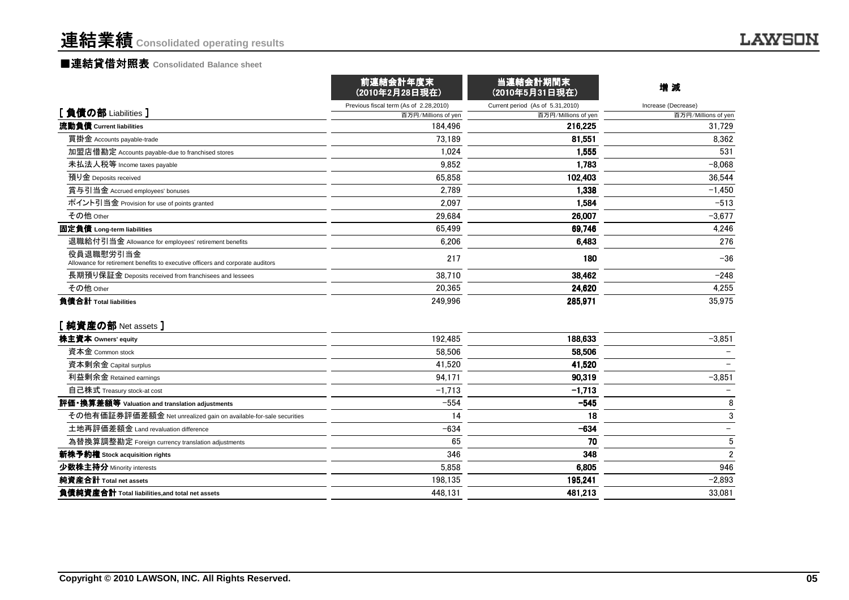### ■連結貸借対照表 Consolidated Balance sheet

|                                                                                             | 前連結会計年度末<br>(2010年2月28日現在)             | 当連結会計期間末<br>(2010年5月31日現在)       | 増減                       |
|---------------------------------------------------------------------------------------------|----------------------------------------|----------------------------------|--------------------------|
|                                                                                             | Previous fiscal term (As of 2.28,2010) | Current period (As of 5.31,2010) | Increase (Decrease)      |
| [負債の部 Liabilities ]                                                                         | 百万円/Millions of yen                    | 百万円/Millions of yen              | 百万円/Millions of yen      |
| 流動負債 Current liabilities                                                                    | 184.496                                | 216.225                          | 31.729                   |
| 買掛金 Accounts payable-trade                                                                  | 73,189                                 | 81.551                           | 8,362                    |
| 加盟店借勘定 Accounts payable-due to franchised stores                                            | 1,024                                  | 1,555                            | 531                      |
| 未払法人税等 Income taxes payable                                                                 | 9.852                                  | 1,783                            | $-8,068$                 |
| 預り金 Deposits received                                                                       | 65.858                                 | 102,403                          | 36,544                   |
| 賞与引当金 Accrued employees' bonuses                                                            | 2,789                                  | 1,338                            | $-1,450$                 |
| ポイント引当金 Provision for use of points granted                                                 | 2,097                                  | 1,584                            | $-513$                   |
| その他 Other                                                                                   | 29.684                                 | 26,007                           | $-3,677$                 |
| 固定負債 Long-term liabilities                                                                  | 65,499                                 | 69,746                           | 4,246                    |
| 退職給付引当金 Allowance for employees' retirement benefits                                        | 6.206                                  | 6,483                            | 276                      |
| 役員退職慰労引当金<br>Allowance for retirement benefits to executive officers and corporate auditors | 217                                    | 180                              | $-36$                    |
| 長期預り保証金 Deposits received from franchisees and lessees                                      | 38,710                                 | 38,462                           | $-248$                   |
| その他 Other                                                                                   | 20.365                                 | 24,620                           | 4,255                    |
| 負債合計 Total liabilities                                                                      | 249.996                                | 285,971                          | 35,975                   |
| [純資産の部 Net assets ]                                                                         |                                        |                                  |                          |
| 株主資本 Owners' equity                                                                         | 192,485                                | 188,633                          | $-3,851$                 |
| 資本金 Common stock                                                                            | 58,506                                 | 58,506                           |                          |
| 資本剰余金 Capital surplus                                                                       | 41,520                                 | 41,520                           |                          |
| 利益剰余金 Retained earnings                                                                     | 94,171                                 | 90,319                           | $-3,851$                 |
| 自己株式 Treasury stock-at cost                                                                 | $-1,713$                               | $-1,713$                         |                          |
| 評価・換算差額等 Valuation and translation adjustments                                              | $-554$                                 | $-545$                           | 8                        |
| その他有価証券評価差額金 Net unrealized gain on available-for-sale securities                           | 14                                     | 18                               | 3                        |
| 土地再評価差額金 Land revaluation difference                                                        | $-634$                                 | $-634$                           | $\overline{\phantom{a}}$ |
| 為替換算調整勘定 Foreign currency translation adjustments                                           | 65                                     | 70                               | 5                        |
| 新株予約権 Stock acquisition rights                                                              | 346                                    | 348                              | $\overline{2}$           |
| 少数株主持分 Minority interests                                                                   | 5,858                                  | 6,805                            | 946                      |
| 純資産合計 Total net assets                                                                      | 198,135                                | 195,241                          | $-2,893$                 |
| 負債純資産合計 Total liabilities, and total net assets                                             | 448.131                                | 481,213                          | 33.081                   |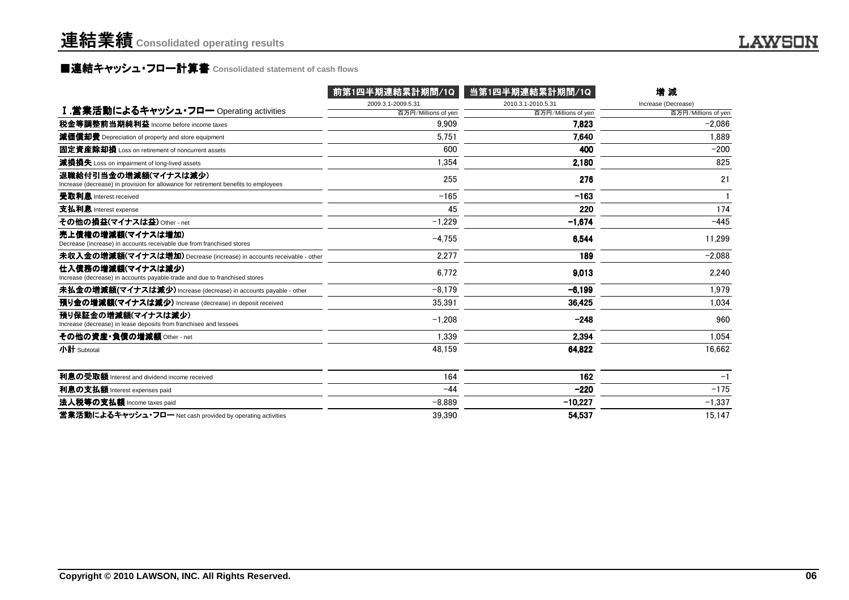### **■連結キャッシュ・フロ一計算書** Consolidated statement of cash flows<br>■

|                                                                                                             | 前第1四半期連結累計期間/1Q     | 当第1四半期連結累計期間/1Q     | 増減                  |
|-------------------------------------------------------------------------------------------------------------|---------------------|---------------------|---------------------|
|                                                                                                             | 2009.3.1-2009.5.31  | 2010.3.1-2010.5.31  | Increase (Decrease) |
| I.営業活動によるキャッシュ・フロー Operating activities                                                                     | 百万円/Millions of yen | 百万円/Millions of yen | 百万円/Millions of yen |
| 税金等調整前当期純利益 Income before income taxes                                                                      | 9.909               | 7.823               | $-2.086$            |
| 減価償却費 Depreciation of property and store equipment                                                          | 5.751               | 7.640               | 1.889               |
| 固定資産除却損 Loss on retirement of noncurrent assets                                                             | 600                 | 400                 | $-200$              |
| 減損損失 Loss on impairment of long-lived assets                                                                | 1,354               | 2.180               | 825                 |
| 退職給付引当金の増減額(マイナスは減少)<br>Increase (decrease) in provision for allowance for retirement benefits to employees | 255                 | 276                 | 21                  |
| 受取利息 Interest received                                                                                      | $-165$              | $-163$              | $\mathbf{1}$        |
| 支払利息 Interest expense                                                                                       | 45                  | 220                 | 174                 |
| その他の損益(マイナスは益) Other - net                                                                                  | $-1,229$            | $-1.674$            | $-445$              |
| 売上債権の増減額(マイナスは増加)<br>Decrease (increase) in accounts receivable due from franchised stores                  | $-4.755$            | 6.544               | 11.299              |
| 未収入金の増減額(マイナスは増加) Decrease (increase) in accounts receivable - other                                        | 2.277               | 189                 | $-2.088$            |
| 仕入債務の増減額(マイナスは減少)<br>Increase (decrease) in accounts payable-trade and due to franchised stores             | 6.772               | 9,013               | 2.240               |
| 未払金の増減額(マイナスは減少) Increase (decrease) in accounts payable - other                                            | $-8.179$            | $-6,199$            | 1.979               |
| 預り金の増減額(マイナスは減少) Increase (decrease) in deposit received                                                    | 35.391              | 36,425              | 1.034               |
| 預り保証金の増減額(マイナスは減少)<br>Increase (decrease) in lease deposits from franchisee and lessees                     | $-1,208$            | $-248$              | 960                 |
| その他の資産・負債の増減額 Other - net                                                                                   | 1.339               | 2,394               | 1,054               |
| 小計 Subtotal                                                                                                 | 48.159              | 64,822              | 16,662              |
| 利息の受取額 Interest and dividend income received                                                                | 164                 | 162                 | $-1$                |
| 利息の支払額 Interest expenses paid                                                                               | $-44$               | $-220$              | $-175$              |
| 法人税等の支払額 Income taxes paid                                                                                  | $-8,889$            | $-10,227$           | $-1,337$            |
| 営業活動によるキャッシュ・フロー Net cash provided by operating activities                                                  | 39.390              | 54,537              | 15.147              |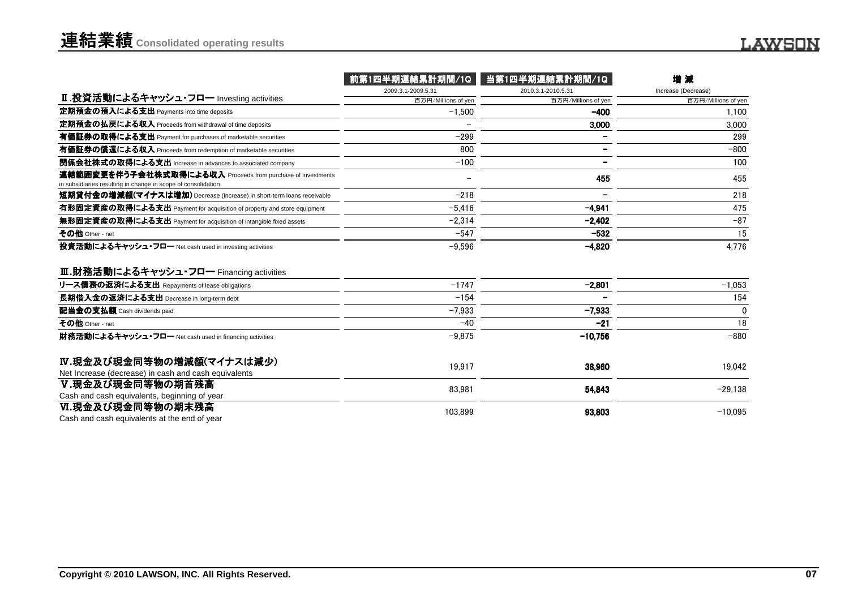|                                                                                                                              | 前第1四半期連結累計期間/1Q     | 当第1四半期連結累計期間/1Q     | 增減                  |
|------------------------------------------------------------------------------------------------------------------------------|---------------------|---------------------|---------------------|
|                                                                                                                              | 2009.3.1-2009.5.31  | 2010.3.1-2010.5.31  | Increase (Decrease) |
| Ⅱ.投資活動によるキャッシュ・フロー Investing activities                                                                                      | 百万円/Millions of yen | 百万円/Millions of yen | 百万円/Millions of yen |
| 定期預金の預入による支出 Payments into time deposits                                                                                     | $-1,500$            | $-400$              | 1,100               |
| 定期預金の払戻による収入 Proceeds from withdrawal of time deposits                                                                       |                     | 3,000               | 3.000               |
| 有価証券の取得による支出 Payment for purchases of marketable securities                                                                  | $-299$              |                     | 299                 |
| 有価証券の償還による収入 Proceeds from redemption of marketable securities                                                               | 800                 |                     | $-800$              |
| 関係会社株式の取得による支出 Increase in advances to associated company                                                                    | $-100$              |                     | 100                 |
| 連結範囲変更を伴う子会社株式取得による収入 Proceeds from purchase of investments<br>in subsidiaries resulting in change in scope of consolidation |                     | 455                 | 455                 |
| 短期貸付金の増減額(マイナスは増加) Decrease (increase) in short-term loans receivable                                                        | $-218$              |                     | 218                 |
| 有形固定資産の取得による支出 Payment for acquisition of property and store equipment                                                       | $-5,416$            | $-4.941$            | 475                 |
| 無形固定資産の取得による支出 Payment for acquisition of intangible fixed assets                                                            | $-2.314$            | $-2.402$            | $-87$               |
| その他 Other - net                                                                                                              | $-547$              | $-532$              | 15                  |
| 投資活動によるキャッシュ・フロー Net cash used in investing activities                                                                       | $-9,596$            | $-4,820$            | 4,776               |
| Ⅲ.財務活動によるキャッシュ・フロー Financing activities                                                                                      |                     |                     |                     |
| リース債務の返済による支出 Repayments of lease obligations                                                                                | $-1747$             | $-2.801$            | $-1,053$            |
| 長期借入金の返済による支出 Decrease in long-term debt                                                                                     | $-154$              |                     | 154                 |
| 配当金の支払額 Cash dividends paid                                                                                                  | $-7.933$            | $-7,933$            | $\mathbf 0$         |
| その他 Other - net                                                                                                              | $-40$               | $-21$               | 18                  |
| 財務活動によるキャッシュ・フロー Net cash used in financing activities                                                                       | $-9.875$            | $-10.756$           | $-880$              |
| Ⅳ.現金及び現金同等物の増減額(マイナスは減少)<br>Net Increase (decrease) in cash and cash equivalents                                             | 19.917              | 38,960              | 19,042              |
| Ⅴ.現金及び現金同等物の期首残高<br>Cash and cash equivalents, beginning of year                                                             | 83,981              | 54,843              | $-29,138$           |
| Ⅵ.現金及び現金同等物の期末残高<br>Cash and cash equivalents at the end of year                                                             | 103.899             | 93.803              | $-10.095$           |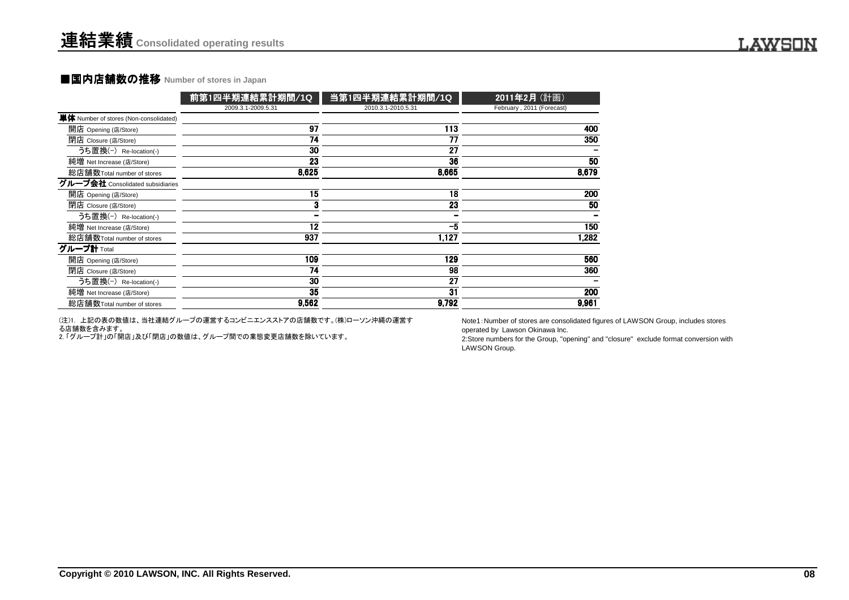### **■国内店舗数の推移 Number of stores in Japan**

| 2009.3.1-2009.5.31<br>2010.3.1-2010.5.31<br>February, 2011 (Forecast)<br>単体 Number of stores (Non-consolidated)<br>$\overline{97}$<br>開店 Opening (店/Store)<br>$\frac{113}{113}$<br>400<br>$\overline{77}$<br>$\overline{74}$<br>350<br>閉店 Closure (店/Store)<br>$\overline{30}$<br>$\overline{27}$<br>うち置換(-) Re-location(-)<br>$\overline{23}$<br>36<br>50<br>純増 Net Increase (店/Store)<br>8,625<br>8,665<br>8,679<br>総店舗数Total number of stores<br>グループ会社 Consolidated subsidiaries<br>$\overline{15}$<br>$\overline{18}$<br>200<br>開店 Opening (店/Store)<br>$\mathbf{3}$<br>$\overline{23}$<br>$\overline{50}$<br>閉店 Closure (店/Store)<br>うち置換(-) Re-location(-)<br>$\overline{\phantom{a}}$<br>$\overline{\phantom{a}}$<br>$\overline{\phantom{0}}$<br>$\overline{12}$<br>$-5$<br>150<br>純増 Net Increase (店/Store)<br>937<br>1,127<br>総店舗数Total number of stores<br>1,282<br>グループ計 Total<br>109<br>129<br>560<br>開店 Opening (店/Store)<br>74<br>$\overline{98}$<br>360<br>閉店 Closure (店/Store)<br>$\overline{27}$<br>$\overline{30}$<br>うち置換(-) Re-location(-)<br>$\overline{\phantom{a}}$<br>35<br>$\overline{31}$<br>200<br>純増 Net Increase (店/Store)<br>9,562<br>9,792<br>総店舗数Total number of stores<br>9,961<br>(注)1. 上記の表の数値は、当社連結グループの運営するコンビニエンスストアの店舗数です。(株)ローソン沖縄の運営す<br>Note1: Number of stores are consolidated figures of LAWSON Group, includes stores<br>る店舗数を含みます。<br>operated by Lawson Okinawa Inc.<br>2.「グループ計」の「開店」及び「閉店」の数値は、グループ間での業態変更店舗数を除いています。<br>2:Store numbers for the Group, "opening" and "closure" exclude format conversion with<br>LAWSON Group.<br>Copyright © 2010 LAWSON, INC. All Rights Reserved. | 前第1四半期連結累計期間/1Q | 当第1四半期連結累計期間/1Q | 2011年2月 (計画) |  |
|------------------------------------------------------------------------------------------------------------------------------------------------------------------------------------------------------------------------------------------------------------------------------------------------------------------------------------------------------------------------------------------------------------------------------------------------------------------------------------------------------------------------------------------------------------------------------------------------------------------------------------------------------------------------------------------------------------------------------------------------------------------------------------------------------------------------------------------------------------------------------------------------------------------------------------------------------------------------------------------------------------------------------------------------------------------------------------------------------------------------------------------------------------------------------------------------------------------------------------------------------------------------------------------------------------------------------------------------------------------------------------------------------------------------------------------------------------------------------------------------------------------------------------------------------------------------------------------------------------------------------------------|-----------------|-----------------|--------------|--|
|                                                                                                                                                                                                                                                                                                                                                                                                                                                                                                                                                                                                                                                                                                                                                                                                                                                                                                                                                                                                                                                                                                                                                                                                                                                                                                                                                                                                                                                                                                                                                                                                                                          |                 |                 |              |  |
|                                                                                                                                                                                                                                                                                                                                                                                                                                                                                                                                                                                                                                                                                                                                                                                                                                                                                                                                                                                                                                                                                                                                                                                                                                                                                                                                                                                                                                                                                                                                                                                                                                          |                 |                 |              |  |
|                                                                                                                                                                                                                                                                                                                                                                                                                                                                                                                                                                                                                                                                                                                                                                                                                                                                                                                                                                                                                                                                                                                                                                                                                                                                                                                                                                                                                                                                                                                                                                                                                                          |                 |                 |              |  |
|                                                                                                                                                                                                                                                                                                                                                                                                                                                                                                                                                                                                                                                                                                                                                                                                                                                                                                                                                                                                                                                                                                                                                                                                                                                                                                                                                                                                                                                                                                                                                                                                                                          |                 |                 |              |  |
|                                                                                                                                                                                                                                                                                                                                                                                                                                                                                                                                                                                                                                                                                                                                                                                                                                                                                                                                                                                                                                                                                                                                                                                                                                                                                                                                                                                                                                                                                                                                                                                                                                          |                 |                 |              |  |
|                                                                                                                                                                                                                                                                                                                                                                                                                                                                                                                                                                                                                                                                                                                                                                                                                                                                                                                                                                                                                                                                                                                                                                                                                                                                                                                                                                                                                                                                                                                                                                                                                                          |                 |                 |              |  |
|                                                                                                                                                                                                                                                                                                                                                                                                                                                                                                                                                                                                                                                                                                                                                                                                                                                                                                                                                                                                                                                                                                                                                                                                                                                                                                                                                                                                                                                                                                                                                                                                                                          |                 |                 |              |  |
|                                                                                                                                                                                                                                                                                                                                                                                                                                                                                                                                                                                                                                                                                                                                                                                                                                                                                                                                                                                                                                                                                                                                                                                                                                                                                                                                                                                                                                                                                                                                                                                                                                          |                 |                 |              |  |
|                                                                                                                                                                                                                                                                                                                                                                                                                                                                                                                                                                                                                                                                                                                                                                                                                                                                                                                                                                                                                                                                                                                                                                                                                                                                                                                                                                                                                                                                                                                                                                                                                                          |                 |                 |              |  |
|                                                                                                                                                                                                                                                                                                                                                                                                                                                                                                                                                                                                                                                                                                                                                                                                                                                                                                                                                                                                                                                                                                                                                                                                                                                                                                                                                                                                                                                                                                                                                                                                                                          |                 |                 |              |  |
|                                                                                                                                                                                                                                                                                                                                                                                                                                                                                                                                                                                                                                                                                                                                                                                                                                                                                                                                                                                                                                                                                                                                                                                                                                                                                                                                                                                                                                                                                                                                                                                                                                          |                 |                 |              |  |
|                                                                                                                                                                                                                                                                                                                                                                                                                                                                                                                                                                                                                                                                                                                                                                                                                                                                                                                                                                                                                                                                                                                                                                                                                                                                                                                                                                                                                                                                                                                                                                                                                                          |                 |                 |              |  |
|                                                                                                                                                                                                                                                                                                                                                                                                                                                                                                                                                                                                                                                                                                                                                                                                                                                                                                                                                                                                                                                                                                                                                                                                                                                                                                                                                                                                                                                                                                                                                                                                                                          |                 |                 |              |  |
|                                                                                                                                                                                                                                                                                                                                                                                                                                                                                                                                                                                                                                                                                                                                                                                                                                                                                                                                                                                                                                                                                                                                                                                                                                                                                                                                                                                                                                                                                                                                                                                                                                          |                 |                 |              |  |
|                                                                                                                                                                                                                                                                                                                                                                                                                                                                                                                                                                                                                                                                                                                                                                                                                                                                                                                                                                                                                                                                                                                                                                                                                                                                                                                                                                                                                                                                                                                                                                                                                                          |                 |                 |              |  |
|                                                                                                                                                                                                                                                                                                                                                                                                                                                                                                                                                                                                                                                                                                                                                                                                                                                                                                                                                                                                                                                                                                                                                                                                                                                                                                                                                                                                                                                                                                                                                                                                                                          |                 |                 |              |  |
|                                                                                                                                                                                                                                                                                                                                                                                                                                                                                                                                                                                                                                                                                                                                                                                                                                                                                                                                                                                                                                                                                                                                                                                                                                                                                                                                                                                                                                                                                                                                                                                                                                          |                 |                 |              |  |
|                                                                                                                                                                                                                                                                                                                                                                                                                                                                                                                                                                                                                                                                                                                                                                                                                                                                                                                                                                                                                                                                                                                                                                                                                                                                                                                                                                                                                                                                                                                                                                                                                                          |                 |                 |              |  |
|                                                                                                                                                                                                                                                                                                                                                                                                                                                                                                                                                                                                                                                                                                                                                                                                                                                                                                                                                                                                                                                                                                                                                                                                                                                                                                                                                                                                                                                                                                                                                                                                                                          |                 |                 |              |  |
|                                                                                                                                                                                                                                                                                                                                                                                                                                                                                                                                                                                                                                                                                                                                                                                                                                                                                                                                                                                                                                                                                                                                                                                                                                                                                                                                                                                                                                                                                                                                                                                                                                          |                 |                 |              |  |
|                                                                                                                                                                                                                                                                                                                                                                                                                                                                                                                                                                                                                                                                                                                                                                                                                                                                                                                                                                                                                                                                                                                                                                                                                                                                                                                                                                                                                                                                                                                                                                                                                                          |                 |                 |              |  |
|                                                                                                                                                                                                                                                                                                                                                                                                                                                                                                                                                                                                                                                                                                                                                                                                                                                                                                                                                                                                                                                                                                                                                                                                                                                                                                                                                                                                                                                                                                                                                                                                                                          |                 |                 |              |  |
|                                                                                                                                                                                                                                                                                                                                                                                                                                                                                                                                                                                                                                                                                                                                                                                                                                                                                                                                                                                                                                                                                                                                                                                                                                                                                                                                                                                                                                                                                                                                                                                                                                          |                 |                 |              |  |
|                                                                                                                                                                                                                                                                                                                                                                                                                                                                                                                                                                                                                                                                                                                                                                                                                                                                                                                                                                                                                                                                                                                                                                                                                                                                                                                                                                                                                                                                                                                                                                                                                                          |                 |                 |              |  |
|                                                                                                                                                                                                                                                                                                                                                                                                                                                                                                                                                                                                                                                                                                                                                                                                                                                                                                                                                                                                                                                                                                                                                                                                                                                                                                                                                                                                                                                                                                                                                                                                                                          |                 |                 |              |  |
|                                                                                                                                                                                                                                                                                                                                                                                                                                                                                                                                                                                                                                                                                                                                                                                                                                                                                                                                                                                                                                                                                                                                                                                                                                                                                                                                                                                                                                                                                                                                                                                                                                          |                 |                 |              |  |
|                                                                                                                                                                                                                                                                                                                                                                                                                                                                                                                                                                                                                                                                                                                                                                                                                                                                                                                                                                                                                                                                                                                                                                                                                                                                                                                                                                                                                                                                                                                                                                                                                                          |                 |                 |              |  |
|                                                                                                                                                                                                                                                                                                                                                                                                                                                                                                                                                                                                                                                                                                                                                                                                                                                                                                                                                                                                                                                                                                                                                                                                                                                                                                                                                                                                                                                                                                                                                                                                                                          |                 |                 |              |  |
|                                                                                                                                                                                                                                                                                                                                                                                                                                                                                                                                                                                                                                                                                                                                                                                                                                                                                                                                                                                                                                                                                                                                                                                                                                                                                                                                                                                                                                                                                                                                                                                                                                          |                 |                 |              |  |
|                                                                                                                                                                                                                                                                                                                                                                                                                                                                                                                                                                                                                                                                                                                                                                                                                                                                                                                                                                                                                                                                                                                                                                                                                                                                                                                                                                                                                                                                                                                                                                                                                                          |                 |                 |              |  |
|                                                                                                                                                                                                                                                                                                                                                                                                                                                                                                                                                                                                                                                                                                                                                                                                                                                                                                                                                                                                                                                                                                                                                                                                                                                                                                                                                                                                                                                                                                                                                                                                                                          |                 |                 |              |  |
|                                                                                                                                                                                                                                                                                                                                                                                                                                                                                                                                                                                                                                                                                                                                                                                                                                                                                                                                                                                                                                                                                                                                                                                                                                                                                                                                                                                                                                                                                                                                                                                                                                          |                 |                 |              |  |
|                                                                                                                                                                                                                                                                                                                                                                                                                                                                                                                                                                                                                                                                                                                                                                                                                                                                                                                                                                                                                                                                                                                                                                                                                                                                                                                                                                                                                                                                                                                                                                                                                                          |                 |                 |              |  |
|                                                                                                                                                                                                                                                                                                                                                                                                                                                                                                                                                                                                                                                                                                                                                                                                                                                                                                                                                                                                                                                                                                                                                                                                                                                                                                                                                                                                                                                                                                                                                                                                                                          |                 |                 |              |  |
|                                                                                                                                                                                                                                                                                                                                                                                                                                                                                                                                                                                                                                                                                                                                                                                                                                                                                                                                                                                                                                                                                                                                                                                                                                                                                                                                                                                                                                                                                                                                                                                                                                          |                 |                 |              |  |
|                                                                                                                                                                                                                                                                                                                                                                                                                                                                                                                                                                                                                                                                                                                                                                                                                                                                                                                                                                                                                                                                                                                                                                                                                                                                                                                                                                                                                                                                                                                                                                                                                                          |                 |                 |              |  |
|                                                                                                                                                                                                                                                                                                                                                                                                                                                                                                                                                                                                                                                                                                                                                                                                                                                                                                                                                                                                                                                                                                                                                                                                                                                                                                                                                                                                                                                                                                                                                                                                                                          |                 |                 |              |  |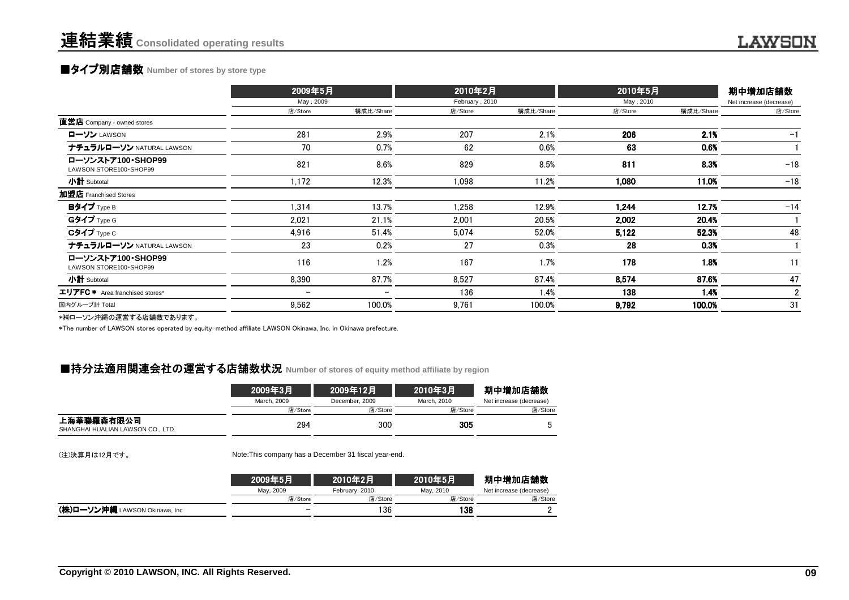## **■タイプ別店舗数** Number of stores by store type

|                                               | 2009年5月   |           |         |           | 2010年5月<br>2010年2月<br>May, 2010<br>February, 2010 |           | 期中増加店舗数                 |
|-----------------------------------------------|-----------|-----------|---------|-----------|---------------------------------------------------|-----------|-------------------------|
|                                               | May, 2009 |           |         |           |                                                   |           | Net increase (decrease) |
|                                               | 店/Store   | 構成比/Share | 店/Store | 構成比/Share | 店/Store                                           | 構成比/Share | 店/Store                 |
| 直営店 Company - owned stores                    |           |           |         |           |                                                   |           |                         |
| ローソン LAWSON                                   | 281       | 2.9%      | 207     | 2.1%      | 206                                               | 2.1%      | $-1$                    |
| ナチュラルローソン NATURAL LAWSON                      | 70        | 0.7%      | 62      | 0.6%      | 63                                                | 0.6%      |                         |
| ローソンストア100·SHOP99<br>LAWSON STORE100 · SHOP99 | 821       | 8.6%      | 829     | 8.5%      | 811                                               | 8.3%      | $-18$                   |
| 小計 Subtotal                                   | 1,172     | 12.3%     | 1,098   | 11.2%     | 1,080                                             | 11.0%     | $-18$                   |
| 加盟店 Franchised Stores                         |           |           |         |           |                                                   |           |                         |
| Bタイプ Type B                                   | 1,314     | 13.7%     | 1,258   | 12.9%     | 1.244                                             | 12.7%     | $-14$                   |
| Gタイプ Type G                                   | 2,021     | 21.1%     | 2.001   | 20.5%     | 2,002                                             | 20.4%     |                         |
| $C$ タイプ $Type C$                              | 4,916     | 51.4%     | 5,074   | 52.0%     | 5,122                                             | 52.3%     | 48                      |
| ナチュラルローソン NATURAL LAWSON                      | 23        | 0.2%      | 27      | 0.3%      | 28                                                | 0.3%      |                         |
| ローソンストア100·SHOP99<br>LAWSON STORE100 · SHOP99 | 116       | 1.2%      | 167     | 1.7%      | 178                                               | 1.8%      | 11                      |
| 小計 Subtotal                                   | 8,390     | 87.7%     | 8,527   | 87.4%     | 8,574                                             | 87.6%     | 47                      |
| エリアFC * Area franchised stores*               |           |           | 136     | 1.4%      | 138                                               | 1.4%      | $\overline{2}$          |
| 国内グループ計 Total                                 | 9,562     | 100.0%    | 9,761   | 100.0%    | 9,792                                             | 100.0%    | 31                      |
| ⇒₩□ いいお埋の置巻士は広葉数本もリナナ                         |           |           |         |           |                                                   |           |                         |

\*㈱ローソン沖縄の運営する店舗数であります。

\*The number of LAWSON stores operated by equity-method affiliate LAWSON Okinawa, Inc. in Okinawa prefecture.

## ■持分法適用関連会社の運営する店舗数状況 Number of stores of equity method affiliate by region<br>→

|                                                 | 2009年3月     | 2009年12月       | 2010年3月     | 期中増加店舗数                 |
|-------------------------------------------------|-------------|----------------|-------------|-------------------------|
|                                                 | March, 2009 | December, 2009 | March, 2010 | Net increase (decrease) |
|                                                 | 店/Store     | 店/Store        | 店/Store     | 店/Store                 |
| 上海華聯羅森有限公司<br>SHANGHAI HUALIAN LAWSON CO., LTD. | 294         | 300            | 305         |                         |

(注)決算月は12月です。

Note:This company has a December 31 fiscal year-end.

|                                      | 2009年5月   | 2010年2月        | 2010年5月   | 期中増加店舗数                 |
|--------------------------------------|-----------|----------------|-----------|-------------------------|
|                                      | Mav. 2009 | February, 2010 | May, 2010 | Net increase (decrease) |
|                                      | 店/Store   | 店/Store        | 店/Store   | 店/Store                 |
| <b>(株)ローソン沖縄</b> LAWSON Okinawa, Inc |           | 136            | 138       |                         |
|                                      |           |                |           |                         |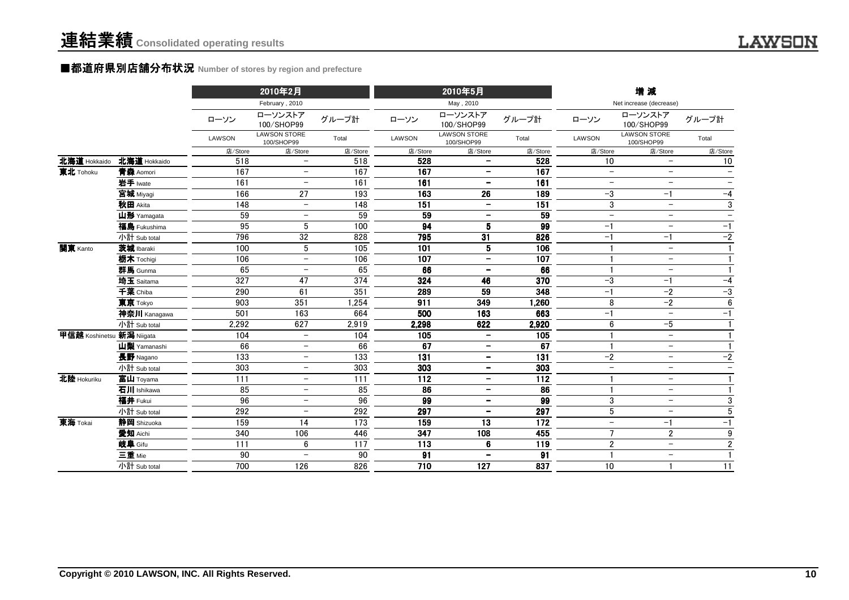### ■都道府県別店舗分布状況 Number of stores by region and prefecture

|                           |              |               |                                   |         |         | 2010年5月                           |                 | 増減                       |                                   |                          |
|---------------------------|--------------|---------------|-----------------------------------|---------|---------|-----------------------------------|-----------------|--------------------------|-----------------------------------|--------------------------|
|                           |              |               | February, 2010                    |         |         | May, 2010                         |                 |                          | Net increase (decrease)           |                          |
|                           |              | ローソン          | ローソンストア<br>100/SHOP99             | グループ計   | ローソン    | ローソンストア<br>100/SHOP99             | グループ計           | ローソン                     | ローソンストア<br>100/SHOP99             | グループ計                    |
|                           |              | <b>LAWSON</b> | <b>LAWSON STORE</b><br>100/SHOP99 | Total   | LAWSON  | <b>LAWSON STORE</b><br>100/SHOP99 | Total           | LAWSON                   | <b>LAWSON STORE</b><br>100/SHOP99 | Total                    |
|                           |              | 店/Store       | 店/Store                           | 店/Store | 店/Store | 店/Store                           | 店/Store         | 店/Store                  | 店/Store                           | 店/Store                  |
| 北海道 Hokkaido              | 北海道 Hokkaido | 518           | $\qquad \qquad -$                 | 518     | 528     | $\qquad \qquad -$                 | 528             | 10                       | $\overline{\phantom{0}}$          | 10                       |
| 東北 Tohoku                 | 青森 Aomori    | 167           | $\overline{\phantom{0}}$          | 167     | 167     | $\overline{\phantom{a}}$          | 167             | $-$                      | $-$                               | $\overline{\phantom{0}}$ |
|                           | 岩手 Iwate     | 161           | $\qquad \qquad -$                 | 161     | 161     | $\overline{\phantom{a}}$          | 161             | $\overline{\phantom{0}}$ | $\overline{\phantom{m}}$          |                          |
|                           | 宫城 Miyagi    | 166           | 27                                | 193     | 163     | 26                                | 189             | $-3$                     | $-1$                              | $-4$                     |
|                           | 秋田 Akita     | 148           | $\overline{\phantom{m}}$          | 148     | 151     | $\overline{\phantom{a}}$          | 151             | $\mathfrak{3}$           | $\overline{\phantom{a}}$          | 3                        |
|                           | 山形 Yamagata  | 59            | $\overline{\phantom{0}}$          | 59      | 59      | $\overline{\phantom{a}}$          | 59              | $\overline{\phantom{0}}$ | $\overline{\phantom{0}}$          |                          |
|                           | 福島 Fukushima | 95            | 5                                 | 100     | 94      | 5                                 | 99              | $-1$                     | $\overline{\phantom{0}}$          | $-1$                     |
|                           | 小計 Sub total | 796           | 32                                | 828     | 795     | 31                                | 826             | $-1$                     | $-1$                              | $-2$                     |
| 関東 Kanto                  | 茨城 Ibaraki   | 100           | 5                                 | 105     | 101     | 5                                 | 106             |                          | $-$                               | $\mathbf{1}$             |
|                           | 栃木 Tochigi   | 106           | $\overline{\phantom{m}}$          | 106     | 107     | $\overline{\phantom{m}}$          | 107             |                          | $\overline{\phantom{m}}$          | $\mathbf{1}$             |
|                           | 群馬 Gunma     | 65            | $\overline{\phantom{m}}$          | 65      | 66      | $\overline{\phantom{m}}$          | 66              |                          | $-$                               | $\mathbf{1}$             |
|                           | 埼玉 Saitama   | 327           | 47                                | 374     | 324     | 46                                | 370             | $-3$                     | $-1$                              | $-4$                     |
|                           | 千葉 Chiba     | 290           | 61                                | 351     | 289     | 59                                | 348             | $-1$                     | $-2$                              | $-3$                     |
|                           | 東京 Tokyo     | 903           | 351                               | 1,254   | 911     | 349                               | 1,260           | 8                        | $-2$                              | $\boldsymbol{6}$         |
|                           | 神奈川 Kanagawa | 501           | 163                               | 664     | 500     | 163                               | 663             | $-1$                     | $\overline{\phantom{0}}$          | $-1$                     |
|                           | 小計 Sub total | 2,292         | 627                               | 2,919   | 2,298   | 622                               | 2,920           | 6                        | $-5$                              | $\mathbf{1}$             |
| 甲信越 Koshinetsu 新潟 Niigata |              | 104           | $\overline{\phantom{0}}$          | 104     | 105     | $\overline{\phantom{a}}$          | 105             |                          | $\overline{\phantom{0}}$          |                          |
|                           | 山梨 Yamanashi | 66            | $\overline{\phantom{0}}$          | 66      | 67      | $\overline{\phantom{a}}$          | 67              |                          | $\overline{\phantom{0}}$          |                          |
|                           | 長野 Nagano    | 133           | $\overline{\phantom{m}}$          | 133     | 131     | $\overline{\phantom{m}}$          | 131             | $-2$                     | $-$                               | $-2$                     |
|                           | 小計 Sub total | 303           | $\overline{\phantom{0}}$          | 303     | 303     | $\overline{\phantom{a}}$          | 303             | $\!-$                    | $\overline{\phantom{0}}$          | $\overline{\phantom{0}}$ |
| 北陸 Hokuriku               | 富山 Toyama    | 111           | $\overline{\phantom{a}}$          | 111     | 112     | $\overline{\phantom{m}}$          | $\frac{1}{112}$ | $\mathbf{1}$             | $\overline{\phantom{0}}$          | $\mathbf{1}$             |
|                           | 石川 Ishikawa  | 85            | $\overline{\phantom{m}}$          | 85      | 86      | $\overline{\phantom{m}}$          | 86              |                          | $\overline{\phantom{m}}$          | $\mathbf{1}$             |
|                           | 福井 Fukui     | 96            | $\overline{\phantom{m}}$          | 96      | 99      | $\overline{\phantom{a}}$          | 99              | 3                        | $\overline{\phantom{m}}$          | $\overline{3}$           |
|                           | 小計 Sub total | 292           | $\overline{\phantom{m}}$          | 292     | 297     | $\overline{\phantom{m}}$          | 297             | $\overline{5}$           | $\overline{\phantom{m}}$          | $\overline{5}$           |
| 東海 Tokai                  | 静岡 Shizuoka  | 159           | 14                                | 173     | 159     | 13                                | 172             | $\overline{\phantom{m}}$ | $-1$                              | $-1$                     |
|                           | 愛知 Aichi     | 340           | 106                               | 446     | 347     | 108                               | 455             | $\overline{7}$           | $\overline{2}$                    | $\boldsymbol{9}$         |
|                           | 岐阜 Gifu      | 111           | 6                                 | 117     | 113     | 6                                 | 119             | $\overline{2}$           | $-$                               | $\overline{2}$           |
|                           | 三重 Mie       | 90            | $\overline{\phantom{m}}$          | 90      | 91      | $\overline{\phantom{a}}$          | 91              | $\mathbf{1}$             | $-$                               | $\mathbf{1}$             |
|                           | 小計 Sub total | 700           | 126                               | 826     | 710     | 127                               | 837             | 10                       |                                   | 11                       |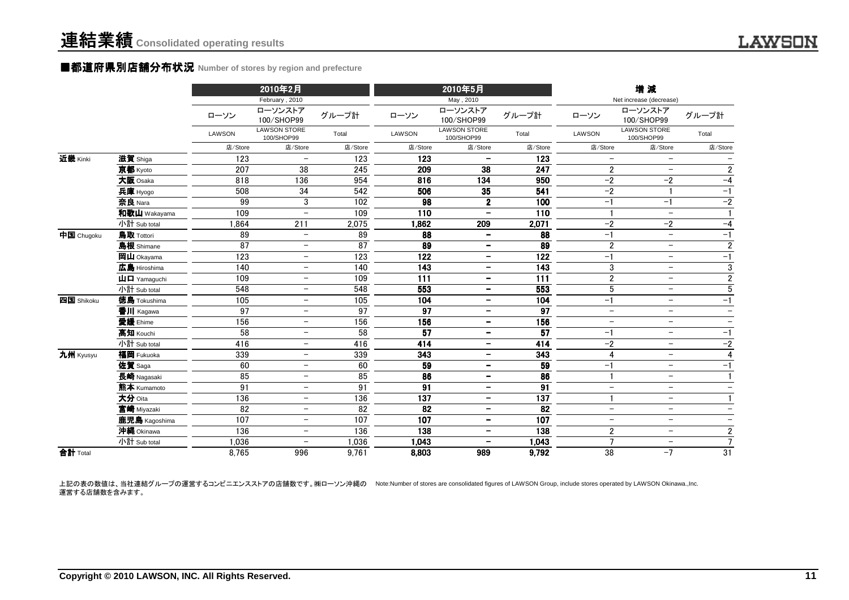#### ■都道府県別店舗分布状況 **Number of stores by region and prefecture**

|            |                                                      |               | 2010年2月                           |                 |                 | 2010年5月                           |                 |                          | 増減                                |                          |
|------------|------------------------------------------------------|---------------|-----------------------------------|-----------------|-----------------|-----------------------------------|-----------------|--------------------------|-----------------------------------|--------------------------|
|            |                                                      |               | February, 2010                    |                 |                 | May, 2010                         |                 |                          | Net increase (decrease)           |                          |
|            |                                                      | ローソン          | ローソンストア<br>100/SHOP99             | グループ計           | ローソン            | ローソンストア<br>100/SHOP99             | グループ計           | ローソン                     | ローソンストア<br>100/SHOP99             | グループ計                    |
|            |                                                      | <b>LAWSON</b> | <b>LAWSON STORE</b><br>100/SHOP99 | Total           | LAWSON          | <b>LAWSON STORE</b><br>100/SHOP99 | Total           | LAWSON                   | <b>LAWSON STORE</b><br>100/SHOP99 | Total                    |
|            |                                                      | 店/Store       | 店/Store                           | 店/Store         | 店/Store         | 店/Store                           | 店/Store         | 店/Store                  | 店/Store                           | 店/Store                  |
| 近畿 Kinki   | 滋賀 Shiga                                             | 123           | $\overline{\phantom{m}}$          | 123             | 123             |                                   | 123             | $\overline{\phantom{m}}$ | $-$                               |                          |
|            | 京都 Kyoto                                             | 207           | 38                                | 245             | 209             | 38                                | 247             | $\overline{2}$           | $\overline{\phantom{m}}$          | $\overline{2}$           |
|            | 大阪 Osaka                                             | 818           | 136                               | 954             | 816             | 134                               | 950             | $-2$                     | $-2$                              | $-4$                     |
|            | 兵庫 Hyogo                                             | 508           | 34                                | 542             | 506             | 35                                | 541             | $-2$                     | $\mathbf{1}$                      | $-1$                     |
|            | 奈良 Nara                                              | 99            | 3                                 | 102             | 98              | $\mathbf 2$                       | 100             | $-1$                     | $-1$                              | $-2$                     |
|            | 和歌山 Wakayama                                         | 109           | $\overline{\phantom{0}}$          | 109             | 110             | $\qquad \qquad -$                 | 110             |                          | $\overline{\phantom{0}}$          | $\mathbf{1}$             |
|            | 小計 Sub total                                         | 1.864         | 211                               | 2,075           | 1,862           | 209                               | 2,071           | $-2$                     | $-2$                              | $-4$                     |
| 中国 Chugoku | 鳥取 Tottori                                           | 89            | $\overline{\phantom{m}}$          | 89              | 88              | $\overline{\phantom{a}}$          | 88              | $-1$                     | $\overline{\phantom{m}}$          | $-1$                     |
|            | 島根 Shimane                                           | 87            | $\qquad \qquad -$                 | 87              | 89              | $\overline{\phantom{a}}$          | 89              | $\overline{2}$           | $\overline{\phantom{m}}$          | $\overline{\mathbf{c}}$  |
|            | 岡山 Okayama                                           | 123           | $\overline{\phantom{a}}$          | 123             | 122             | $\overline{\phantom{a}}$          | 122             | $-1$                     | $\overline{\phantom{0}}$          | $-1$                     |
|            | 広島 Hiroshima                                         | 140           | $\overline{\phantom{m}}$          | 140             | 143             | $\overline{\phantom{a}}$          | 143             | 3                        | $\overline{\phantom{m}}$          | $\overline{3}$           |
|            | $\mathbf{\mathsf{H}}\mathbf{\mathsf{\Pi}}$ Yamaguchi | 109           | $\overline{\phantom{0}}$          | 109             | 111             | $\overline{\phantom{a}}$          | 111             | $\overline{2}$           | $-$                               | $\overline{2}$           |
|            | 小計 Sub total                                         | 548           | $\overline{\phantom{m}}$          | 548             | 553             | $\overline{\phantom{a}}$          | 553             | $\sqrt{5}$               | $\overline{\phantom{m}}$          | $\overline{5}$           |
| 四国 Shikoku | 徳島 Tokushima                                         | 105           | $\overline{\phantom{m}}$          | 105             | 104             | $\overline{\phantom{m}}$          | 104             | $-1$                     | $\overline{\phantom{0}}$          | $-1$                     |
|            | 香川 Kagawa                                            | 97            | $\overline{\phantom{0}}$          | 97              | 97              | $\qquad \qquad -$                 | 97              | $\overline{\phantom{0}}$ | $-$                               | $\overline{\phantom{0}}$ |
|            | 愛媛 Ehime                                             | 156           | $\overline{\phantom{0}}$          | 156             | 156             | $\overline{\phantom{a}}$          | 156             | $\overline{\phantom{m}}$ | $\overline{\phantom{m}}$          | $\overline{\phantom{m}}$ |
|            | 高知 Kouchi                                            | 58            | $\overline{\phantom{0}}$          | $\overline{58}$ | $\overline{57}$ | $\overline{\phantom{a}}$          | $\overline{57}$ | $-1$                     | $\overline{\phantom{m}}$          | $-1$                     |
|            | 小計 Sub total                                         | 416           | $\overline{\phantom{m}}$          | 416             | 414             | $\overline{\phantom{a}}$          | 414             | $-2$                     | $\overline{\phantom{0}}$          | $-2$                     |
| 九州 Kyusyu  | 福岡 Fukuoka                                           | 339           | -                                 | 339             | 343             | $\overline{\phantom{m}}$          | 343             | 4                        | $\overline{\phantom{m}}$          | $\overline{4}$           |
|            | 佐賀 Saga                                              | 60            | $\overline{\phantom{m}}$          | 60              | 59              | $\overline{\phantom{m}}$          | 59              | $-1$                     | $-$                               | $-1$                     |
|            | 長崎 Nagasaki                                          | 85            | $\overline{\phantom{0}}$          | 85              | $\overline{86}$ | $\overline{\phantom{m}}$          | $\overline{86}$ |                          | $\overline{\phantom{m}}$          | $\overline{1}$           |
|            | 熊本 Kumamoto                                          | 91            | $\overline{\phantom{m}}$          | $\overline{91}$ | 91              | $\qquad \qquad \blacksquare$      | $\overline{91}$ | $\overline{\phantom{m}}$ | $\overline{\phantom{0}}$          | $\overline{\phantom{m}}$ |
|            | 大分 Oita                                              | 136           | $\overline{\phantom{m}}$          | 136             | 137             | $\overline{\phantom{a}}$          | 137             |                          | $-$                               | $\mathbf{1}$             |
|            | 宮崎 Miyazaki                                          | 82            | $\overline{\phantom{m}}$          | 82              | 82              | $\qquad \qquad \blacksquare$      | 82              | $\overline{\phantom{m}}$ | $\overline{\phantom{m}}$          | $\overline{\phantom{m}}$ |
|            | 鹿児島 Kagoshima                                        | 107           | $\overline{\phantom{0}}$          | 107             | 107             | $\qquad \qquad -$                 | 107             | $\overline{\phantom{m}}$ | $\overline{\phantom{m}}$          |                          |
|            | 沖縄 Okinawa                                           | 136           | $\overline{\phantom{m}}$          | 136             | 138             | $\overline{\phantom{a}}$          | 138             | $\overline{2}$           | $\overline{\phantom{m}}$          | $\mathbf{2}$             |
|            | 小計 Sub total                                         | 1,036         | $\overline{\phantom{a}}$          | 1,036           | 1,043           | $\overline{\phantom{a}}$          | 1,043           | $\overline{7}$           | $-$                               | $\overline{7}$           |
| 合計 Total   |                                                      | 8,765         | 996                               | 9,761           | 8,803           | 989                               | 9,792           | $\overline{38}$          | $-7$                              | $\overline{31}$          |

上記の表の数値は、当社連結グループの運営するコンビニエンスストアの店舗数です。㈱ローソン沖縄の Note:Number of stores are consolidated figures of LAWSON Group, include stores operated by LAWSON Okinawa.,Inc. 運営する店舗数を含みます。

**LAWSON**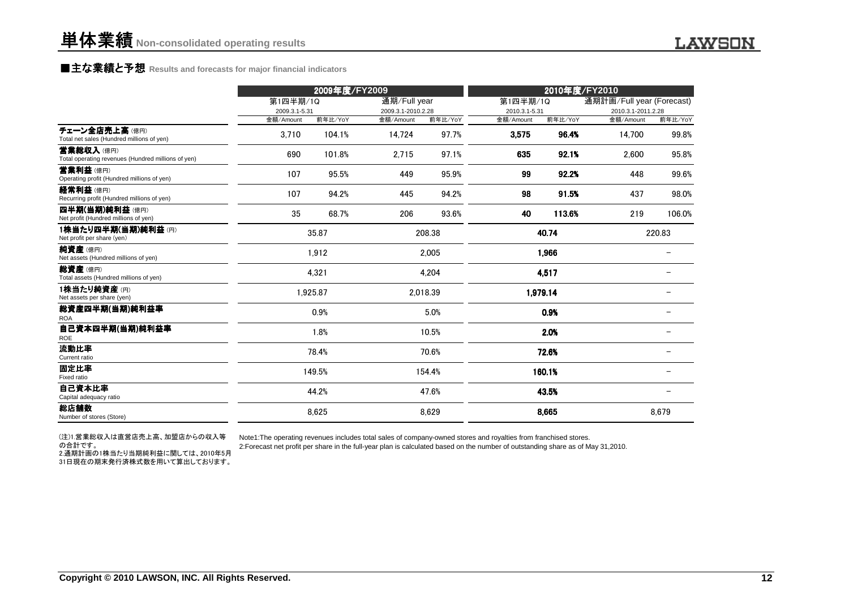### **■主な業績と予想** Results and forecasts for major financial indicators<br>
————————————————————

|                                                                 |                    | 2009年度/FY2009 | 2010年度/FY2010 |                                            |                    |                  |                           |                  |
|-----------------------------------------------------------------|--------------------|---------------|---------------|--------------------------------------------|--------------------|------------------|---------------------------|------------------|
|                                                                 | 第1四半期/1Q           |               | 通期/Full year  |                                            | 第1四半期/1Q           |                  | 通期計画/Full year (Forecast) |                  |
|                                                                 | 2009.3.1-5.31      | 前年比/YoY       |               | 2009.3.1-2010.2.28<br>前年比/YoY<br>金額/Amount |                    | 2010.3.1-5.31    | 2010.3.1-2011.2.28        |                  |
| チェーン全店売上高(億円)<br>Total net sales (Hundred millions of yen)      | 金額/Amount<br>3,710 | 104.1%        | 14,724        | 97.7%                                      | 金額/Amount<br>3,575 | 前年比/YoY<br>96.4% | 金額/Amount<br>14,700       | 前年比/YoY<br>99.8% |
| 营業総収入(億円)<br>Total operating revenues (Hundred millions of yen) | 690                | 101.8%        | 2,715         | 97.1%                                      | 635                | 92.1%            | 2,600                     | 95.8%            |
| 営業利益(億円)<br>Operating profit (Hundred millions of yen)          | 107                | 95.5%         | 449           | 95.9%                                      | 99                 | 92.2%            | 448                       | 99.6%            |
| 経常利益(億円)<br>Recurring profit (Hundred millions of yen)          | 107                | 94.2%         | 445           | 94.2%                                      | 98                 | 91.5%            | 437                       | 98.0%            |
| 四半期(当期)純利益(億円)<br>Net profit (Hundred millions of yen)          | 35                 | 68.7%         | 206           | 93.6%                                      | 40                 | 113.6%           | 219                       | 106.0%           |
| 1株当たり四半期(当期)純利益(円)<br>Net profit per share (yen)                |                    | 35.87         | 208.38        |                                            | 40.74              |                  | 220.83                    |                  |
| 純資産(億円)<br>Net assets (Hundred millions of yen)                 |                    | 1,912         | 2,005         |                                            | 1,966              |                  |                           |                  |
| 総資産(億円)<br>Total assets (Hundred millions of yen)               |                    | 4,321         | 4,204         |                                            | 4,517              |                  |                           |                  |
| 1株当たり純資産(円)<br>Net assets per share (yen)                       |                    | 1,925.87      | 2,018.39      |                                            | 1,979.14           |                  |                           |                  |
| 総資産四半期(当期)純利益率<br><b>ROA</b>                                    |                    | 0.9%          |               | 5.0%                                       |                    | 0.9%             |                           |                  |
| 自己資本四半期(当期)純利益率<br>ROE                                          |                    | 1.8%          |               | 10.5%                                      | 2.0%               |                  |                           |                  |
| 流動比率<br>Current ratio                                           |                    | 78.4%         |               | 70.6%                                      |                    | 72.6%            |                           |                  |
| 固定比率<br>Fixed ratio                                             | 149.5%             |               | 154.4%        |                                            |                    | 160.1%           |                           |                  |
| 自己資本比率<br>Capital adequacy ratio                                |                    | 44.2%         | 47.6%         |                                            | 43.5%              |                  |                           |                  |
| 総店舗数<br>Number of stores (Store)                                |                    | 8,625         | 8,629         |                                            | 8,665              |                  | 8,679                     |                  |

(注)1.営業総収入は直営店売上高、加盟店からの収入等の合計です。 2.通期計画の1株当たり当期純利益に関しては、2010年5月31日現在の期末発行済株式数を用いて算出しております。

Note1:The operating revenues includes total sales of company-owned stores and royalties from franchised stores.

2:Forecast net profit per share in the full-year plan is calculated based on the number of outstanding share as of May 31,2010.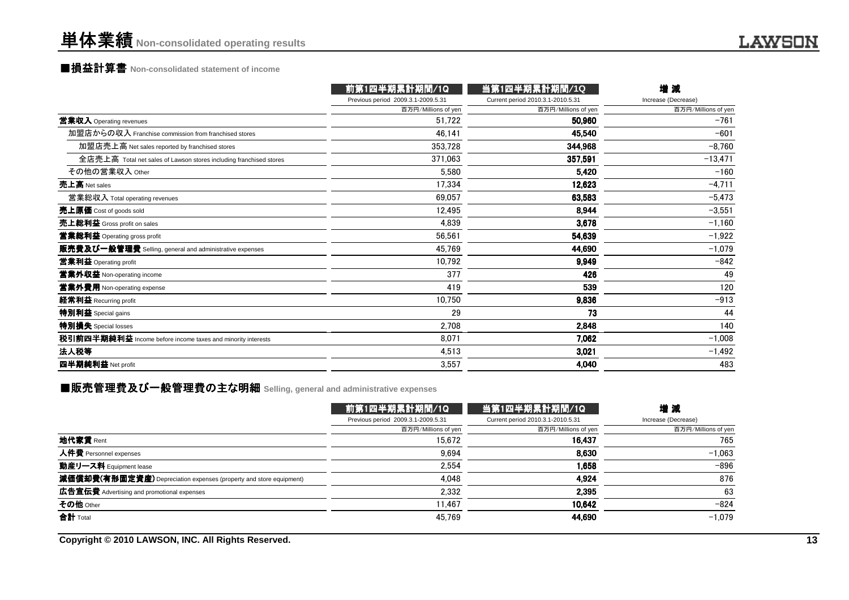## ■損益計算書 **Non-consolidated statement of income**

|                                                                    | 前第1四半期累計期間/1Q                      | 当第1四半期累計期間/1Q                     | 增減                  |
|--------------------------------------------------------------------|------------------------------------|-----------------------------------|---------------------|
|                                                                    | Previous period 2009.3.1-2009.5.31 | Current period 2010.3.1-2010.5.31 | Increase (Decrease) |
|                                                                    | 百万円/Millions of yen                | 百万円/Millions of yen               | 百万円/Millions of yen |
| 営業収入 Operating revenues                                            | 51,722                             | 50,960                            | $-761$              |
| 加盟店からの収入 Franchise commission from franchised stores               | 46,141                             | 45,540                            | $-601$              |
| 加盟店売上高 Net sales reported by franchised stores                     | 353,728                            | 344,968                           | $-8,760$            |
| 全店売上高 Total net sales of Lawson stores including franchised stores | 371,063                            | 357,591                           | $-13,471$           |
| その他の営業収入 Other                                                     | 5,580                              | 5.420                             | $-160$              |
| 売上高 Net sales                                                      | 17,334                             | 12,623                            | $-4,711$            |
| 営業総収入 Total operating revenues                                     | 69,057                             | 63,583                            | $-5,473$            |
| 売上原価 Cost of goods sold                                            | 12,495                             | 8.944                             | $-3,551$            |
| 売上総利益 Gross profit on sales                                        | 4,839                              | 3,678                             | $-1,160$            |
| 営業総利益 Operating gross profit                                       | 56,561                             | 54,639                            | $-1,922$            |
| 販売費及び一般管理費 Selling, general and administrative expenses            | 45,769                             | 44,690                            | $-1,079$            |
| 営業利益 Operating profit                                              | 10,792                             | 9.949                             | $-842$              |
| 営業外収益 Non-operating income                                         | 377                                | 426                               | 49                  |
| 営業外費用 Non-operating expense                                        | 419                                | 539                               | 120                 |
| 経常利益 Recurring profit                                              | 10,750                             | 9.836                             | $-913$              |
| 特別利益 Special gains                                                 | 29                                 | 73                                | 44                  |
| 特別損失 Special losses                                                | 2,708                              | 2,848                             | 140                 |
| 税引前四半期純利益 Income before income taxes and minority interests        | 8,071                              | 7,062                             | $-1,008$            |
| 法人税等                                                               | 4,513                              | 3,021                             | $-1,492$            |
| 四半期純利益 Net profit                                                  | 3,557                              | 4,040                             | 483                 |

### ■販売管理費及び一般管理費の主な明細 Selling, general and administrative expenses<br>-

|                                                                    | 前第1四半期累計期間/1Q                      | 当第1四半期累計期間/1Q                     | 増減                  |
|--------------------------------------------------------------------|------------------------------------|-----------------------------------|---------------------|
|                                                                    | Previous period 2009.3.1-2009.5.31 | Current period 2010.3.1-2010.5.31 | Increase (Decrease) |
|                                                                    | 百万円/Millions of yen                | 百万円/Millions of yen               | 百万円/Millions of yen |
| 地代家賃 Rent                                                          | 15.672                             | 16.437                            | 765                 |
| 人件費 Personnel expenses                                             | 9,694                              | 8.630                             | $-1.063$            |
| 動産リース料 Equipment lease                                             | 2,554                              | 1.658                             | $-896$              |
| 減価償却費(有形固定資産) Depreciation expenses (property and store equipment) | 4,048                              | 4,924                             | 876                 |
| 広告宣伝費 Advertising and promotional expenses                         | 2,332                              | 2,395                             | 63                  |
| その他 Other                                                          | 11.467                             | 10.642                            | $-824$              |
| 合計 Total                                                           | 45.769                             | 44,690                            | $-1.079$            |

**Copyright © 2010 LAWSON, INC. All Rights Reserved.**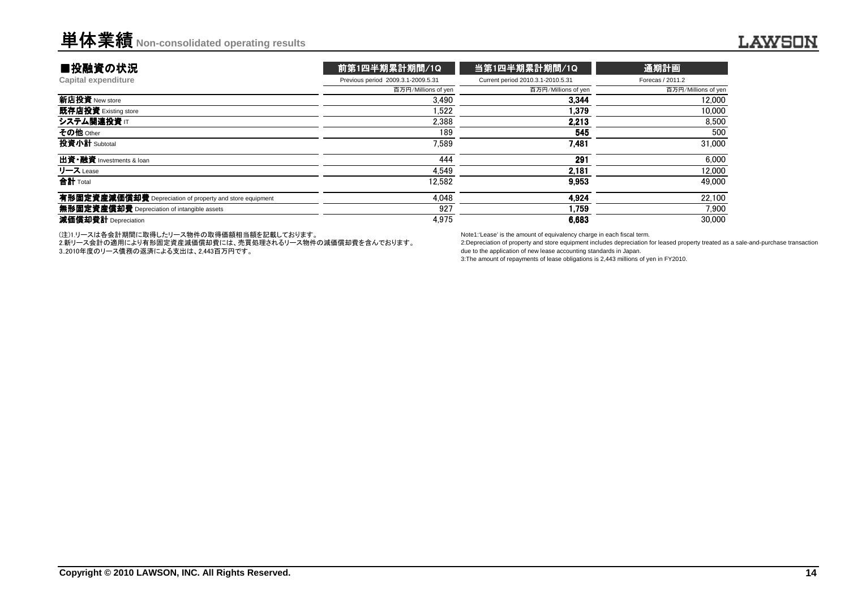| ■投融資の状況                                                                                                        | 前第1四半期累計期間/1Q                      | 当第1四半期累計期間/1Q                     | 通期計画                |  |
|----------------------------------------------------------------------------------------------------------------|------------------------------------|-----------------------------------|---------------------|--|
| Capital expenditure                                                                                            | Previous period 2009.3.1-2009.5.31 | Current period 2010.3.1-2010.5.31 | Forecas / 2011.2    |  |
|                                                                                                                | 百万円/Millions of yen                | 百万円/Millions of yen               | 百万円/Millions of yen |  |
| 新店投資 New store                                                                                                 | 3.490                              | 3,344                             | 12,000              |  |
| 既存店投資 Existing store                                                                                           | 1.522                              | 1,379                             | 10,000              |  |
| システム関連投資 IT                                                                                                    | 2.388                              | 2.213                             | 8.500               |  |
| その他 Other                                                                                                      | 189                                | 545                               | 500                 |  |
| 投資小計 Subtotal                                                                                                  | 7.589                              | 7.481                             | 31,000              |  |
| 出資 · 融資 Investments & loan                                                                                     | 444                                | 291                               | 6.000               |  |
| リース Lease                                                                                                      | 4.549                              | 2.181                             | 12.000              |  |
| 合計 Total                                                                                                       | 12,582                             | 9,953                             | 49,000              |  |
| 有形固定資産減価償却費 Depreciation of property and store equipment                                                       | 4.048                              | 4.924                             | 22.100              |  |
| 無形固定資産償却費 Depreciation of intangible assets                                                                    | 927                                | 1.759                             | 7.900               |  |
| 減価償却費計 Depreciation                                                                                            | 4,975                              | 6,683                             | 30,000              |  |
| 이 사이트 STATE STATE A STATE A STATE A STATE A STATE A STATE A STATE A STATE A STATE A STATE A STATE A STATE A ST |                                    |                                   |                     |  |

(注)1.リースは各会計期間に取得したリース物件の取得価額相当額を記載しております。

 2.新リース会計の適用により有形固定資産減価償却費には、売買処理されるリース物件の減価償却費を含んでおります。3..2010年度のリース債務の返済による支出は、2,443百万円です。

Note1:'Lease' is the amount of equivalency charge in each fiscal term.

 2:Depreciation of property and store equipment includes depreciation for leased property treated as a sale-and-purchase transactiondue to the application of new lease accounting standards in Japan.

3:The amount of repayments of lease obligations is 2,443 millions of yen in FY2010.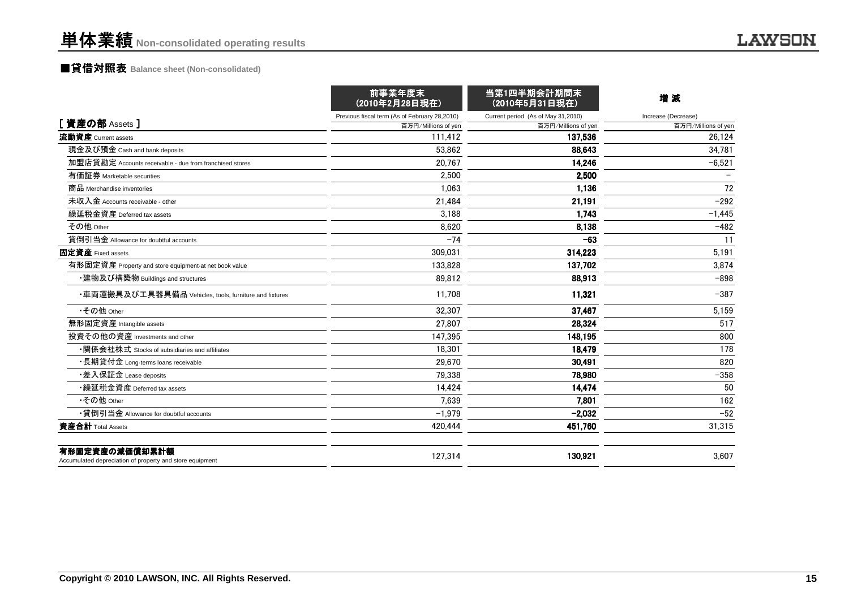## ■貸借対照表 **Balance sheet (Non-consolidated)**

|                                                                            | 前事業年度末<br>(2010年2月28日現在)                      | 当第1四半期会計期間末<br>(2010年5月31日現在)      | 増減                  |
|----------------------------------------------------------------------------|-----------------------------------------------|------------------------------------|---------------------|
|                                                                            | Previous fiscal term (As of February 28,2010) | Current period (As of May 31,2010) | Increase (Decrease) |
| [資産の部 Assets]                                                              | 百万円/Millions of yen                           | 百万円/Millions of yen                | 百万円/Millions of yen |
| 流動資産 Current assets                                                        | 111,412                                       | 137.536                            | 26,124              |
| 現金及び預金 Cash and bank deposits                                              | 53.862                                        | 88.643                             | 34.781              |
| 加盟店貸勘定 Accounts receivable - due from franchised stores                    | 20.767                                        | 14,246                             | $-6,521$            |
| 有価証券 Marketable securities                                                 | 2,500                                         | 2,500                              |                     |
| 商品 Merchandise inventories                                                 | 1.063                                         | 1,136                              | 72                  |
| 未収入金 Accounts receivable - other                                           | 21,484                                        | 21,191                             | $-292$              |
| 繰延税金資産 Deferred tax assets                                                 | 3.188                                         | 1,743                              | $-1,445$            |
| その他 Other                                                                  | 8.620                                         | 8,138                              | $-482$              |
| 貸倒引当金 Allowance for doubtful accounts                                      | $-74$                                         | $-63$                              | 11                  |
| 固定資産 Fixed assets                                                          | 309,031                                       | 314,223                            | 5,191               |
| 有形固定資産 Property and store equipment-at net book value                      | 133,828                                       | 137,702                            | 3,874               |
| ・建物及び構築物 Buildings and structures                                          | 89.812                                        | 88,913                             | $-898$              |
| ・車両運搬具及び工具器具備品 Vehicles, tools, furniture and fixtures                     | 11,708                                        | 11,321                             | $-387$              |
| •その他 Other                                                                 | 32,307                                        | 37,467                             | 5,159               |
| 無形固定資産 Intangible assets                                                   | 27.807                                        | 28.324                             | 517                 |
| 投資その他の資産 Investments and other                                             | 147.395                                       | 148,195                            | 800                 |
| •関係会社株式 Stocks of subsidiaries and affiliates                              | 18.301                                        | 18,479                             | 178                 |
| ・長期貸付金 Long-terms loans receivable                                         | 29.670                                        | 30,491                             | 820                 |
| ・差入保証金 Lease deposits                                                      | 79.338                                        | 78,980                             | $-358$              |
| ・繰延税金資産 Deferred tax assets                                                | 14,424                                        | 14.474                             | 50                  |
| •その他 Other                                                                 | 7.639                                         | 7.801                              | 162                 |
| •貸倒引当金 Allowance for doubtful accounts                                     | $-1,979$                                      | $-2,032$                           | $-52$               |
| 資産合計 Total Assets                                                          | 420.444                                       | 451,760                            | 31,315              |
| 有形固定資産の減価償却累計額<br>Accumulated depreciation of property and store equipment | 127,314                                       | 130,921                            | 3,607               |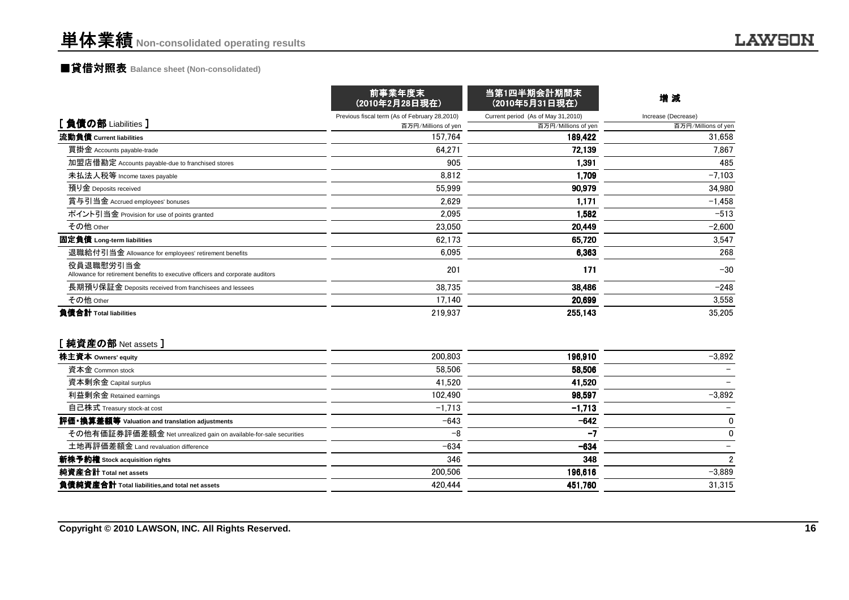## ■貸借対照表 **Balance sheet (Non-consolidated)**

|                                                                                             | 前事業年度末<br>(2010年2月28日現在)                      | 当第1四半期会計期間末<br>(2010年5月31日現在)      | 增減<br>Increase (Decrease) |  |
|---------------------------------------------------------------------------------------------|-----------------------------------------------|------------------------------------|---------------------------|--|
|                                                                                             | Previous fiscal term (As of February 28,2010) | Current period (As of May 31,2010) |                           |  |
| [負債の部 Liabilities]                                                                          | 百万円/Millions of yen                           | 百万円/Millions of yen                | 百万円/Millions of yen       |  |
| 流動負債 Current liabilities                                                                    | 157.764                                       | 189.422                            | 31,658                    |  |
| 買掛金 Accounts payable-trade                                                                  | 64.271                                        | 72,139                             | 7.867                     |  |
| 加盟店借勘定 Accounts payable-due to franchised stores                                            | 905                                           | 1,391                              | 485                       |  |
| 未払法人税等 Income taxes payable                                                                 | 8,812                                         | 1,709                              | $-7.103$                  |  |
| 預り金 Deposits received                                                                       | 55,999                                        | 90,979                             | 34,980                    |  |
| 賞与引当金 Accrued employees' bonuses                                                            | 2,629                                         | 1,171                              | $-1,458$                  |  |
| ポイント引当金 Provision for use of points granted                                                 | 2.095                                         | 1.582                              | $-513$                    |  |
| その他 Other                                                                                   | 23.050                                        | 20,449                             | $-2,600$                  |  |
| 固定負債 Long-term liabilities                                                                  | 62.173                                        | 65,720                             | 3.547                     |  |
| 退職給付引当金 Allowance for employees' retirement benefits                                        | 6,095                                         | 6,363                              | 268                       |  |
| 役員退職慰労引当金<br>Allowance for retirement benefits to executive officers and corporate auditors | 201                                           | 171                                | $-30$                     |  |
| 長期預り保証金 Deposits received from franchisees and lessees                                      | 38,735                                        | 38,486                             | $-248$                    |  |
| その他 Other                                                                                   | 17,140                                        | 20,699                             | 3,558                     |  |
| 負債合計 Total liabilities                                                                      | 219,937                                       | 255,143                            | 35,205                    |  |
| [純資産の部 Net assets]                                                                          |                                               |                                    |                           |  |
| 株主資本 Owners' equity                                                                         | 200.803                                       | 196,910                            | $-3,892$                  |  |
| 資本金 Common stock                                                                            | 58,506                                        | 58,506                             |                           |  |
| 資本剰余金 Capital surplus                                                                       | 41.520                                        | 41,520                             |                           |  |
| 利益剰余金 Retained earnings                                                                     | 102,490                                       | 98,597                             | $-3,892$                  |  |
| 自己株式 Treasury stock-at cost                                                                 | $-1,713$                                      | $-1,713$                           |                           |  |
| 評価・換算差額等 Valuation and translation adjustments                                              | $-643$                                        | $-642$                             | $\mathbf 0$               |  |
| その他有価証券評価差額金 Net unrealized gain on available-for-sale securities                           | $-8$                                          | -7                                 | 0                         |  |
| 土地再評価差額金 Land revaluation difference                                                        | $-634$                                        | $-634$                             |                           |  |
| 新株予約権 Stock acquisition rights                                                              | 346                                           | 348                                | $\boldsymbol{2}$          |  |
| 純資産合計 Total net assets                                                                      | 200.506                                       | 196,616                            | $-3,889$                  |  |
| 負債純資産合計 Total liabilities, and total net assets                                             | 420.444                                       | 451,760                            | 31,315                    |  |